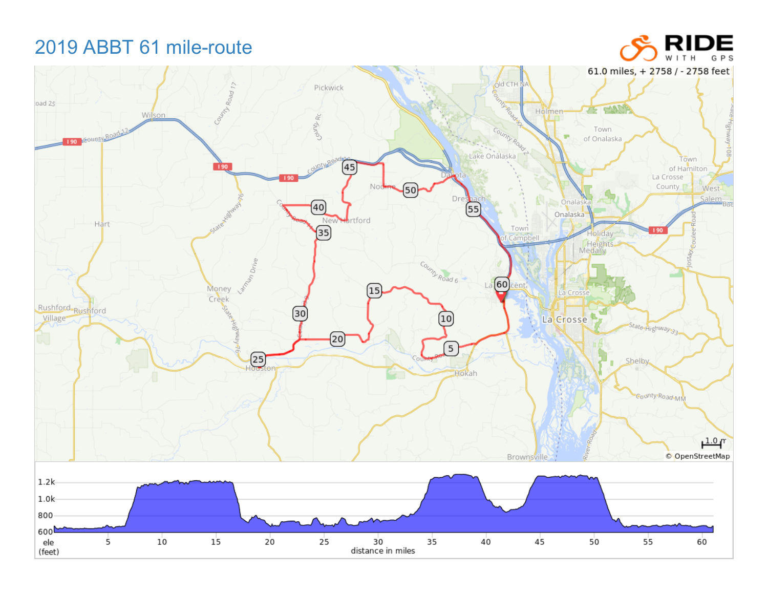## 2019 ABBT 61 mile-route

(feet)

61.0 miles, + 2758 / - 2758 feet County Road 17 Old CTH N Pickwick **MARGO** oad 25 CANT Holmen-75 Wilson **COUND RC** County Road Town 190 ECOUND ROAD of Onalaska Lake Onalaska Town  $[45]$  $190$ of Hamilton La Crosse County No West- $[50]$ Salem, Dre Onalask<sub>i</sub>  $(40)$ 55 Onalaska Nev artford Hart  $\overline{35}$ Town Holiday Campbell Heights<br>Medany **Talystan Drive** Country Road 6  $La(60)$ ent. Money 15 La Cross Creek Rushford-Rushford 30 Village  $\left[10\right]$ La<sub>c</sub>erosse State Highway 33 @  $\boxed{5}$  $\left(\frac{25}{100}\right)$ **Shelby** Hokah County Road MM  $1.0<sub>T</sub>$ © OpenStreetMap Brownsville  $1.2k$  $1.0k$ 800 600 $\blacktriangle$  $10$  $20$  $25$  $40$  $4<sub>5</sub>$ ele 5  $15$ 30 35  $50$ 55 60 distance in miles

RIDE